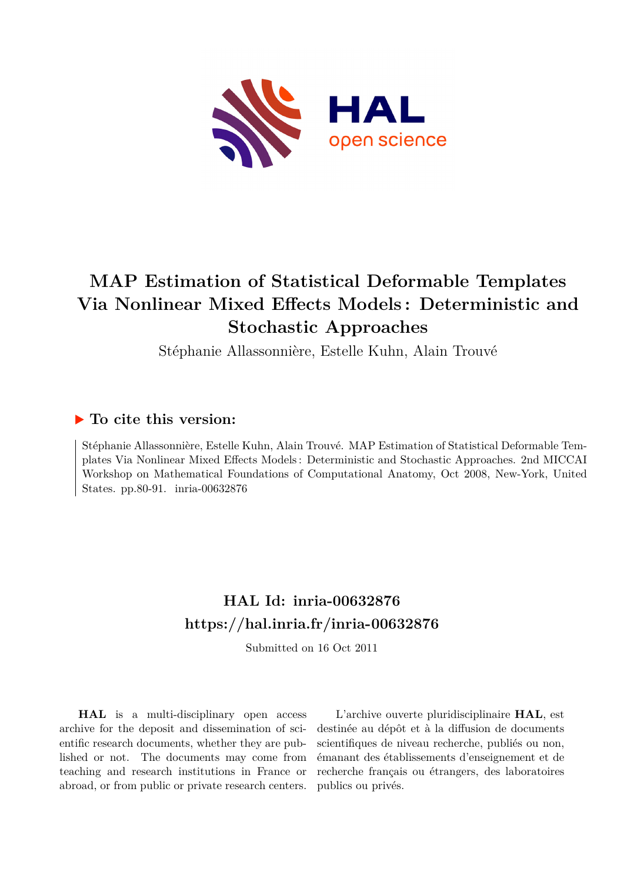

# **MAP Estimation of Statistical Deformable Templates Via Nonlinear Mixed Effects Models : Deterministic and Stochastic Approaches**

Stéphanie Allassonnière, Estelle Kuhn, Alain Trouvé

# **To cite this version:**

Stéphanie Allassonnière, Estelle Kuhn, Alain Trouvé. MAP Estimation of Statistical Deformable Templates Via Nonlinear Mixed Effects Models : Deterministic and Stochastic Approaches. 2nd MICCAI Workshop on Mathematical Foundations of Computational Anatomy, Oct 2008, New-York, United States. pp.80-91. inria-00632876

# **HAL Id: inria-00632876 <https://hal.inria.fr/inria-00632876>**

Submitted on 16 Oct 2011

**HAL** is a multi-disciplinary open access archive for the deposit and dissemination of scientific research documents, whether they are published or not. The documents may come from teaching and research institutions in France or abroad, or from public or private research centers.

L'archive ouverte pluridisciplinaire **HAL**, est destinée au dépôt et à la diffusion de documents scientifiques de niveau recherche, publiés ou non, émanant des établissements d'enseignement et de recherche français ou étrangers, des laboratoires publics ou privés.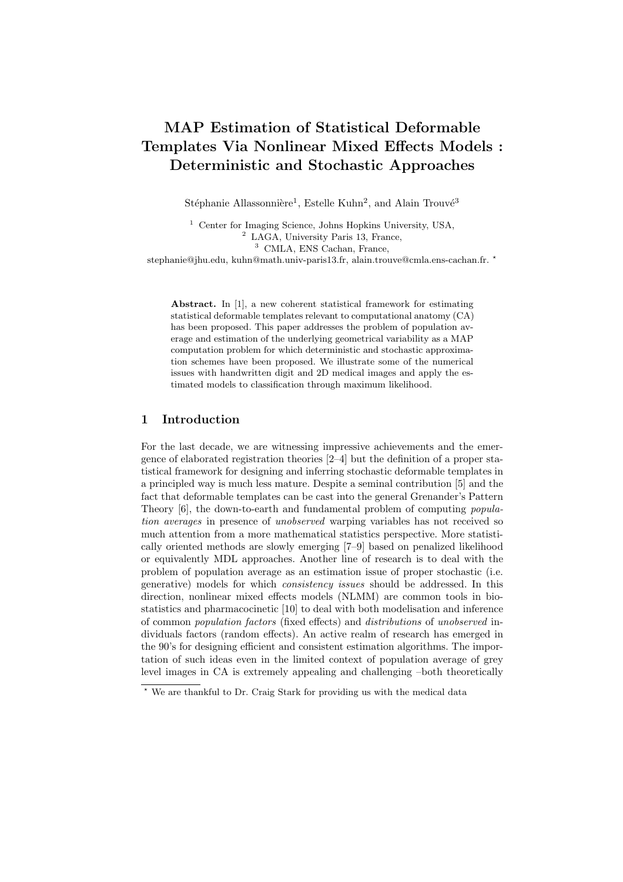# MAP Estimation of Statistical Deformable Templates Via Nonlinear Mixed Effects Models : Deterministic and Stochastic Approaches

Stéphanie Allassonnière<sup>1</sup>, Estelle Kuhn<sup>2</sup>, and Alain Trouvé<sup>3</sup>

<sup>1</sup> Center for Imaging Science, Johns Hopkins University, USA, <sup>2</sup> LAGA, University Paris 13, France, <sup>3</sup> CMLA, ENS Cachan, France,

stephanie@jhu.edu, kuhn@math.univ-paris13.fr, alain.trouve@cmla.ens-cachan.fr.  $\star$ 

Abstract. In [1], a new coherent statistical framework for estimating statistical deformable templates relevant to computational anatomy (CA) has been proposed. This paper addresses the problem of population average and estimation of the underlying geometrical variability as a MAP computation problem for which deterministic and stochastic approximation schemes have been proposed. We illustrate some of the numerical issues with handwritten digit and 2D medical images and apply the estimated models to classification through maximum likelihood.

## 1 Introduction

For the last decade, we are witnessing impressive achievements and the emergence of elaborated registration theories [2–4] but the definition of a proper statistical framework for designing and inferring stochastic deformable templates in a principled way is much less mature. Despite a seminal contribution [5] and the fact that deformable templates can be cast into the general Grenander's Pattern Theory [6], the down-to-earth and fundamental problem of computing population averages in presence of unobserved warping variables has not received so much attention from a more mathematical statistics perspective. More statistically oriented methods are slowly emerging [7–9] based on penalized likelihood or equivalently MDL approaches. Another line of research is to deal with the problem of population average as an estimation issue of proper stochastic (i.e. generative) models for which consistency issues should be addressed. In this direction, nonlinear mixed effects models (NLMM) are common tools in biostatistics and pharmacocinetic [10] to deal with both modelisation and inference of common population factors (fixed effects) and distributions of unobserved individuals factors (random effects). An active realm of research has emerged in the 90's for designing efficient and consistent estimation algorithms. The importation of such ideas even in the limited context of population average of grey level images in CA is extremely appealing and challenging –both theoretically

<sup>⋆</sup> We are thankful to Dr. Craig Stark for providing us with the medical data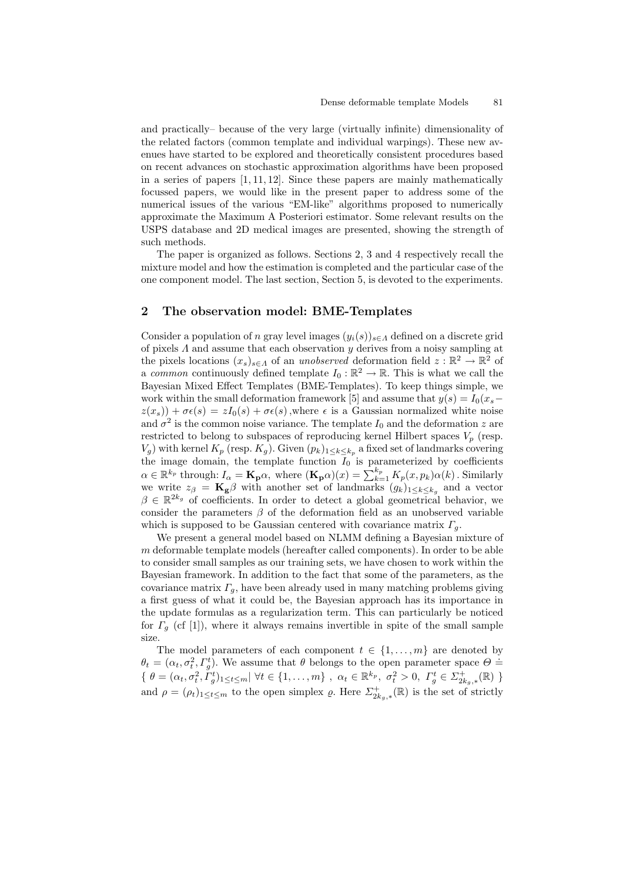and practically– because of the very large (virtually infinite) dimensionality of the related factors (common template and individual warpings). These new avenues have started to be explored and theoretically consistent procedures based on recent advances on stochastic approximation algorithms have been proposed in a series of papers [1, 11, 12]. Since these papers are mainly mathematically focussed papers, we would like in the present paper to address some of the numerical issues of the various "EM-like" algorithms proposed to numerically approximate the Maximum A Posteriori estimator. Some relevant results on the USPS database and 2D medical images are presented, showing the strength of such methods.

The paper is organized as follows. Sections 2, 3 and 4 respectively recall the mixture model and how the estimation is completed and the particular case of the one component model. The last section, Section 5, is devoted to the experiments.

# 2 The observation model: BME-Templates

Consider a population of n gray level images  $(y_i(s))_{s\in\Lambda}$  defined on a discrete grid of pixels  $\Lambda$  and assume that each observation  $y$  derives from a noisy sampling at the pixels locations  $(x_s)_{s \in A}$  of an unobserved deformation field  $z : \mathbb{R}^2 \to \mathbb{R}^2$  of a common continuously defined template  $I_0 : \mathbb{R}^2 \to \mathbb{R}$ . This is what we call the Bayesian Mixed Effect Templates (BME-Templates). To keep things simple, we work within the small deformation framework [5] and assume that  $y(s) = I_0(x_s$  $z(x_s)$ ) +  $\sigma \epsilon(s) = zI_0(s) + \sigma \epsilon(s)$ , where  $\epsilon$  is a Gaussian normalized white noise and  $\sigma^2$  is the common noise variance. The template  $I_0$  and the deformation z are restricted to belong to subspaces of reproducing kernel Hilbert spaces  $V_p$  (resp.  $V_g$ ) with kernel  $K_p$  (resp.  $K_g$ ). Given  $(p_k)_{1 \leq k \leq k_p}$  a fixed set of landmarks covering the image domain, the template function  $I_0$  is parameterized by coefficients  $\alpha \in \mathbb{R}^{k_p}$  through:  $I_\alpha = \mathbf{K_p} \alpha$ , where  $(\mathbf{K_p} \alpha)(x) = \sum_{k=1}^{k_p} K_p(x, p_k) \alpha(k)$ . Similarly we write  $z_{\beta} = \mathbf{K}_{g} \beta$  with another set of landmarks  $(g_k)_{1 \leq k \leq k_g}$  and a vector  $\beta \in \mathbb{R}^{2k_g}$  of coefficients. In order to detect a global geometrical behavior, we consider the parameters  $\beta$  of the deformation field as an unobserved variable which is supposed to be Gaussian centered with covariance matrix  $\Gamma_a$ .

We present a general model based on NLMM defining a Bayesian mixture of  $m$  deformable template models (hereafter called components). In order to be able to consider small samples as our training sets, we have chosen to work within the Bayesian framework. In addition to the fact that some of the parameters, as the covariance matrix  $\Gamma_g$ , have been already used in many matching problems giving a first guess of what it could be, the Bayesian approach has its importance in the update formulas as a regularization term. This can particularly be noticed for  $\Gamma_q$  (cf [1]), where it always remains invertible in spite of the small sample size.

The model parameters of each component  $t \in \{1, \ldots, m\}$  are denoted by  $\theta_t = (\alpha_t, \sigma_t^2, \Gamma_g^t)$ . We assume that  $\theta$  belongs to the open parameter space  $\Theta =$  $\{\theta = (\alpha_t, \sigma_t^2, \dot{I}_g^t)_{1 \le t \le m} | \forall t \in \{1, ..., m\}, \ \alpha_t \in \mathbb{R}^{k_p}, \ \sigma_t^2 > 0, \ \Gamma_g^t \in \Sigma_{2k_g, *}^+( \mathbb{R}) \}$ and  $\rho = (\rho_t)_{1 \leq t \leq m}$  to the open simplex  $\varrho$ . Here  $\Sigma^+_{2k_g,*}(\mathbb{R})$  is the set of strictly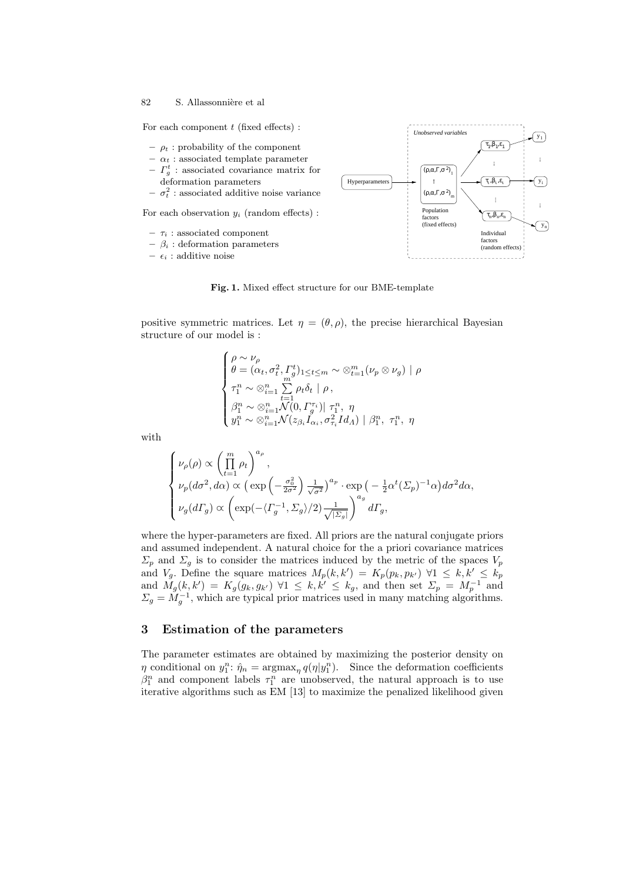For each component  $t$  (fixed effects) :

- $\rho_t$  : probability of the component
- $\alpha_t$ : associated template parameter
- $-I_g^t$ : associated covariance matrix for deformation parameters
- $-\sigma_t^2$ : associated additive noise variance

For each observation  $y_i$  (random effects) :

- $\tau_i$ : associated component
- $\beta_i$ : deformation parameters

–  $\epsilon_i$  : additive noise



Fig. 1. Mixed effect structure for our BME-template

positive symmetric matrices. Let  $\eta = (\theta, \rho)$ , the precise hierarchical Bayesian structure of our model is :

$$
\begin{cases}\n\rho \sim \nu_{\rho} \\
\theta = (\alpha_t, \sigma_t^2, \Gamma_g^t)_{1 \le t \le m} \sim \otimes_{t=1}^m (\nu_p \otimes \nu_g) \mid \rho \\
\tau_1^n \sim \otimes_{i=1}^n \sum_{t=1}^m \rho_t \delta_t \mid \rho, \\
\beta_1^n \sim \otimes_{i=1}^n \mathcal{N}(0, \Gamma_g^{\tau_i}) \mid \tau_1^n, \eta \\
y_1^n \sim \otimes_{i=1}^n \mathcal{N}(z_{\beta_i} I_{\alpha_i}, \sigma_{\tau_i}^2 I d_A) \mid \beta_1^n, \tau_1^n, \eta\n\end{cases}
$$

with

$$
\begin{cases} \nu_{\rho}(\rho) \propto \left(\prod\limits_{t=1}^{m}\rho_{t}\right)^{a_{\rho}}, \\ \nu_{p}(d\sigma^{2},d\alpha) \propto \left(\exp\left(-\frac{\sigma_{0}^{2}}{2\sigma^{2}}\right)\frac{1}{\sqrt{\sigma^{2}}}\right)^{a_{p}} \cdot \exp\left(-\frac{1}{2}\alpha^{t}(\varSigma_{p})^{-1}\alpha\right)d\sigma^{2}d\alpha, \\ \nu_{g}(d\varGamma_{g}) \propto \left(\exp(-\langle \varGamma_{g}^{-1},\varSigma_{g}\rangle/2)\frac{1}{\sqrt{|\varSigma_{g}|}}\right)^{a_{g}} d\varGamma_{g}, \end{cases}
$$

where the hyper-parameters are fixed. All priors are the natural conjugate priors and assumed independent. A natural choice for the a priori covariance matrices  $\Sigma_p$  and  $\Sigma_g$  is to consider the matrices induced by the metric of the spaces  $V_p$ and  $V_g$ . Define the square matrices  $M_p(k, k') = K_p(p_k, p_{k'}) \forall 1 \leq k, k' \leq k_p$ and  $M_g(k, k') = K_g(g_k, g_{k'}) \ \forall 1 \leq k, k' \leq k_g$ , and then set  $\Sigma_p = M_p^{-1}$  and  $\Sigma_g = \overline{M}_g^{-1}$ , which are typical prior matrices used in many matching algorithms.

# 3 Estimation of the parameters

The parameter estimates are obtained by maximizing the posterior density on  $\eta$  conditional on  $y_1^n$ :  $\hat{\eta}_n = \operatorname{argmax}_{\eta} q(\eta | y_1^n)$ . Since the deformation coefficients  $\beta_1^n$  and component labels  $\tau_1^n$  are unobserved, the natural approach is to use iterative algorithms such as EM [13] to maximize the penalized likelihood given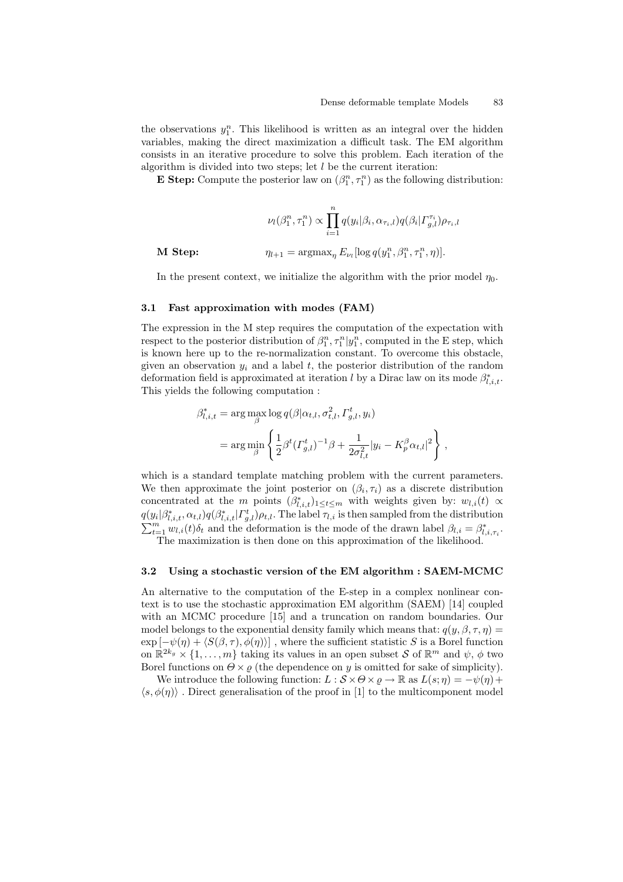the observations  $y_1^n$ . This likelihood is written as an integral over the hidden variables, making the direct maximization a difficult task. The EM algorithm consists in an iterative procedure to solve this problem. Each iteration of the algorithm is divided into two steps; let  $l$  be the current iteration:

**E** Step: Compute the posterior law on  $(\beta_1^n, \tau_1^n)$  as the following distribution:

$$
\nu_l(\beta_1^n, \tau_1^n) \propto \prod_{i=1}^n q(y_i|\beta_i, \alpha_{\tau_i, l}) q(\beta_i | \Gamma_{g, l}^{\tau_i}) \rho_{\tau_i, l}
$$

$$
\eta_{l+1} = \operatorname{argmax}_{\eta} E_{\nu_l} [\log q(y_1^n, \beta_1^n, \tau_1^n, \eta)].
$$

M Step:

In the present context, we initialize the algorithm with the prior model  $\eta_0$ .

#### 3.1 Fast approximation with modes (FAM)

The expression in the M step requires the computation of the expectation with respect to the posterior distribution of  $\beta_1^n, \tau_1^n | y_1^n$ , computed in the E step, which is known here up to the re-normalization constant. To overcome this obstacle, given an observation  $y_i$  and a label t, the posterior distribution of the random deformation field is approximated at iteration l by a Dirac law on its mode  $\beta^*_{l,i,t}$ . This yields the following computation :

$$
\beta_{l,i,t}^* = \arg\max_{\beta} \log q(\beta|\alpha_{t,l}, \sigma_{t,l}^2, \Gamma_{g,l}^t, y_i)
$$
  
= 
$$
\arg\min_{\beta} \left\{ \frac{1}{2} \beta^t (\Gamma_{g,l}^t)^{-1} \beta + \frac{1}{2\sigma_{l,t}^2} |y_i - K_p^{\beta} \alpha_{t,l}|^2 \right\},
$$

which is a standard template matching problem with the current parameters. We then approximate the joint posterior on  $(\beta_i, \tau_i)$  as a discrete distribution concentrated at the m points  $(\beta^*_{l,i,t})_{1 \leq t \leq m}$  with weights given by:  $w_{l,i}(t) \propto$  $q(y_i|\beta_{l,i,t}^*,\alpha_{t,l})q(\beta_{l,i,t}^*|\Gamma_{g,l}^t)\rho_{t,l}.$  The label  $\tau_{l,i}$  is then sampled from the distribution  $\sum_{t=1}^{m} w_{l,i}(t) \delta_t$  and the deformation is the mode of the drawn label  $\beta_{l,i} = \beta^*_{l,i,\tau_i}$ . The maximization is then done on this approximation of the likelihood.

3.2 Using a stochastic version of the EM algorithm : SAEM-MCMC

An alternative to the computation of the E-step in a complex nonlinear context is to use the stochastic approximation EM algorithm (SAEM) [14] coupled with an MCMC procedure [15] and a truncation on random boundaries. Our model belongs to the exponential density family which means that:  $q(y, \beta, \tau, \eta)$  =  $\exp[-\psi(\eta) + \langle S(\beta,\tau),\phi(\eta)\rangle]$ , where the sufficient statistic S is a Borel function on  $\mathbb{R}^{2k_g} \times \{1, \ldots, m\}$  taking its values in an open subset S of  $\mathbb{R}^m$  and  $\psi$ ,  $\phi$  two Borel functions on  $\Theta \times \varrho$  (the dependence on y is omitted for sake of simplicity).

We introduce the following function:  $L : \mathcal{S} \times \Theta \times \varrho \to \mathbb{R}$  as  $L(s; \eta) = -\psi(\eta) +$  $\langle s, \phi(\eta) \rangle$  . Direct generalisation of the proof in [1] to the multicomponent model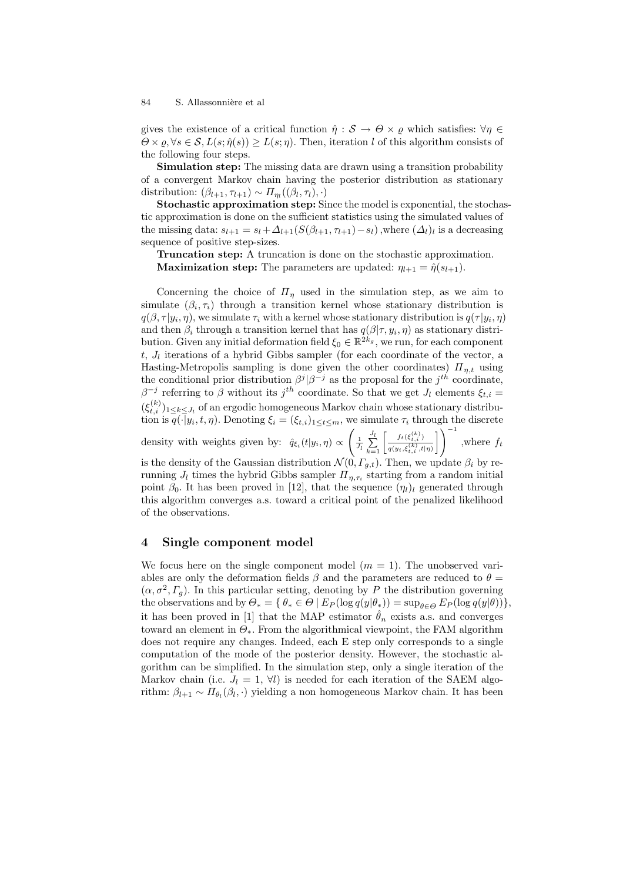gives the existence of a critical function  $\hat{\eta}: \mathcal{S} \to \Theta \times \varrho$  which satisfies:  $\forall \eta \in \mathcal{S}$  $\Theta \times \varrho, \forall s \in \mathcal{S}, L(s; \hat{\eta}(s)) \geq L(s; \eta)$ . Then, iteration l of this algorithm consists of the following four steps.

Simulation step: The missing data are drawn using a transition probability of a convergent Markov chain having the posterior distribution as stationary distribution:  $(\beta_{l+1}, \tau_{l+1}) \sim \Pi_{\eta_l}((\beta_l, \tau_l), \cdot)$ 

Stochastic approximation step: Since the model is exponential, the stochastic approximation is done on the sufficient statistics using the simulated values of the missing data:  $s_{l+1} = s_l + \Delta_{l+1}(S(\beta_{l+1}, \tau_{l+1}) - s_l)$ , where  $(\Delta_l)_l$  is a decreasing sequence of positive step-sizes.

Truncation step: A truncation is done on the stochastic approximation. **Maximization step:** The parameters are updated:  $\eta_{l+1} = \hat{\eta}(s_{l+1})$ .

Concerning the choice of  $\Pi_n$  used in the simulation step, as we aim to simulate  $(\beta_i, \tau_i)$  through a transition kernel whose stationary distribution is  $q(\beta, \tau | y_i, \eta)$ , we simulate  $\tau_i$  with a kernel whose stationary distribution is  $q(\tau | y_i, \eta)$ and then  $\beta_i$  through a transition kernel that has  $q(\beta|\tau, y_i, \eta)$  as stationary distribution. Given any initial deformation field  $\xi_0 \in \mathbb{R}^{2k_g}$ , we run, for each component  $t, J_l$  iterations of a hybrid Gibbs sampler (for each coordinate of the vector, a Hasting-Metropolis sampling is done given the other coordinates)  $\Pi_{n,t}$  using the conditional prior distribution  $\beta^{j}|\beta^{-j}$  as the proposal for the  $j^{th}$  coordinate,  $\beta^{-j}$  referring to  $\beta$  without its  $j^{th}$  coordinate. So that we get  $J_l$  elements  $\xi_{t,i} =$  $(\xi_{t,i}^{(k)})_{1 \leq k \leq J_l}$  of an ergodic homogeneous Markov chain whose stationary distribution is  $q(\cdot|y_i, t, \eta)$ . Denoting  $\xi_i = (\xi_{t,i})_{1 \leq t \leq m}$ , we simulate  $\tau_i$  through the discrete density with weights given by:  $\hat{q}_{\xi_i}(t|y_i, \eta) \propto \left(\frac{1}{J_l} \sum_{k=1}^{J_l} \left[ \frac{f_t(\xi_{t,i}^{(k)})}{q(y_i, \xi_{t,i}^{(k)}, t|\eta)} \right] \right)^{-1}$ , where  $f_t$  $\frac{f_t(\xi_{t,i}^{(k)})}{q(y_i,\xi_{t,i}^{(k)},t|\eta)}\right]$  , where  $f_t$ 

is the density of the Gaussian distribution  $\mathcal{N}(0, \Gamma_{g,t})$ . Then, we update  $\beta_i$  by rerunning  $J_l$  times the hybrid Gibbs sampler  $\Pi_{\eta,\tau_i}$  starting from a random initial point  $\beta_0$ . It has been proved in [12], that the sequence  $(\eta_l)_l$  generated through this algorithm converges a.s. toward a critical point of the penalized likelihood of the observations.

## 4 Single component model

We focus here on the single component model  $(m = 1)$ . The unobserved variables are only the deformation fields  $\beta$  and the parameters are reduced to  $\theta =$  $(\alpha, \sigma^2, \Gamma_g)$ . In this particular setting, denoting by P the distribution governing the observations and by  $\Theta_* = \{ \theta_* \in \Theta \mid E_P(\log q(y|\theta_*)) = \sup_{\theta \in \Theta} E_P(\log q(y|\theta)) \},$ it has been proved in [1] that the MAP estimator  $\hat{\theta}_n$  exists a.s. and converges toward an element in  $\Theta_*$ . From the algorithmical viewpoint, the FAM algorithm does not require any changes. Indeed, each E step only corresponds to a single computation of the mode of the posterior density. However, the stochastic algorithm can be simplified. In the simulation step, only a single iteration of the Markov chain (i.e.  $J_l = 1, \forall l$ ) is needed for each iteration of the SAEM algorithm:  $\beta_{l+1} \sim \Pi_{\theta_l}(\beta_l, \cdot)$  yielding a non homogeneous Markov chain. It has been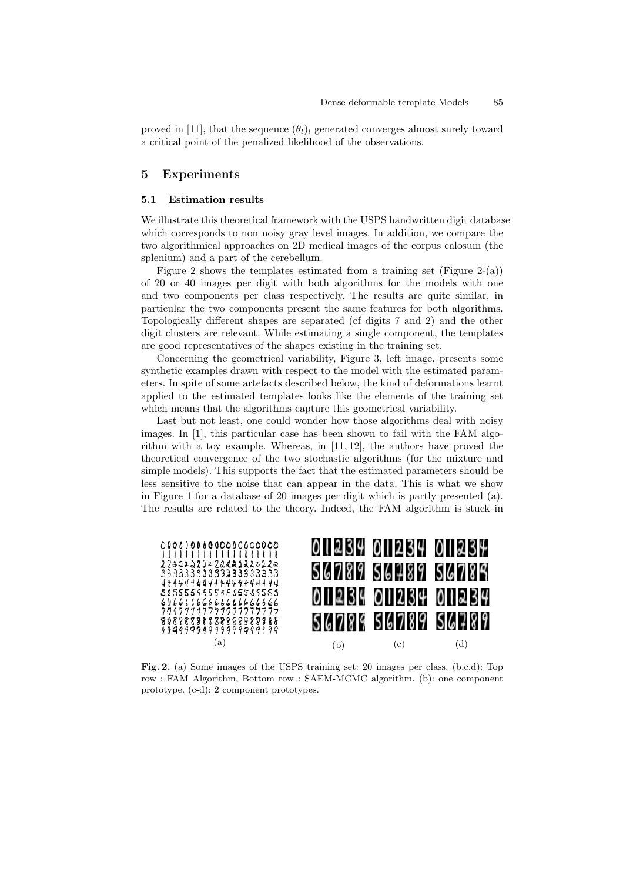proved in [11], that the sequence  $(\theta_l)_l$  generated converges almost surely toward a critical point of the penalized likelihood of the observations.

# 5 Experiments

## 5.1 Estimation results

We illustrate this theoretical framework with the USPS handwritten digit database which corresponds to non noisy gray level images. In addition, we compare the two algorithmical approaches on 2D medical images of the corpus calosum (the splenium) and a part of the cerebellum.

Figure 2 shows the templates estimated from a training set (Figure 2-(a)) of 20 or 40 images per digit with both algorithms for the models with one and two components per class respectively. The results are quite similar, in particular the two components present the same features for both algorithms. Topologically different shapes are separated (cf digits 7 and 2) and the other digit clusters are relevant. While estimating a single component, the templates are good representatives of the shapes existing in the training set.

Concerning the geometrical variability, Figure 3, left image, presents some synthetic examples drawn with respect to the model with the estimated parameters. In spite of some artefacts described below, the kind of deformations learnt applied to the estimated templates looks like the elements of the training set which means that the algorithms capture this geometrical variability.

Last but not least, one could wonder how those algorithms deal with noisy images. In [1], this particular case has been shown to fail with the FAM algorithm with a toy example. Whereas, in [11, 12], the authors have proved the theoretical convergence of the two stochastic algorithms (for the mixture and simple models). This supports the fact that the estimated parameters should be less sensitive to the noise that can appear in the data. This is what we show in Figure 1 for a database of 20 images per digit which is partly presented (a). The results are related to the theory. Indeed, the FAM algorithm is stuck in



Fig. 2. (a) Some images of the USPS training set: 20 images per class. (b,c,d): Top row : FAM Algorithm, Bottom row : SAEM-MCMC algorithm. (b): one component prototype. (c-d): 2 component prototypes.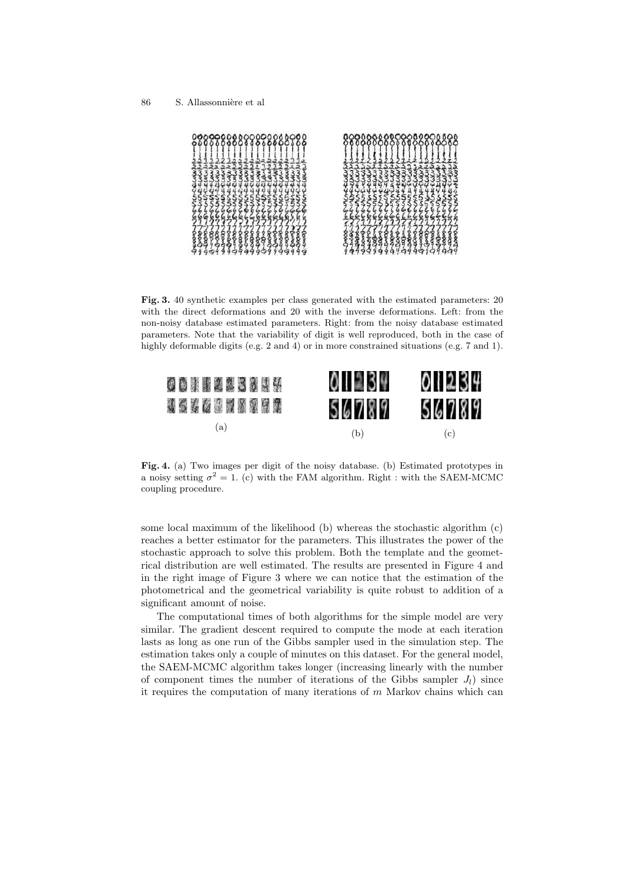

Fig. 3. 40 synthetic examples per class generated with the estimated parameters: 20 with the direct deformations and 20 with the inverse deformations. Left: from the non-noisy database estimated parameters. Right: from the noisy database estimated parameters. Note that the variability of digit is well reproduced, both in the case of highly deformable digits (e.g. 2 and 4) or in more constrained situations (e.g. 7 and 1).



Fig. 4. (a) Two images per digit of the noisy database. (b) Estimated prototypes in a noisy setting  $\sigma^2 = 1$ . (c) with the FAM algorithm. Right : with the SAEM-MCMC coupling procedure.

some local maximum of the likelihood (b) whereas the stochastic algorithm (c) reaches a better estimator for the parameters. This illustrates the power of the stochastic approach to solve this problem. Both the template and the geometrical distribution are well estimated. The results are presented in Figure 4 and in the right image of Figure 3 where we can notice that the estimation of the photometrical and the geometrical variability is quite robust to addition of a significant amount of noise.

The computational times of both algorithms for the simple model are very similar. The gradient descent required to compute the mode at each iteration lasts as long as one run of the Gibbs sampler used in the simulation step. The estimation takes only a couple of minutes on this dataset. For the general model, the SAEM-MCMC algorithm takes longer (increasing linearly with the number of component times the number of iterations of the Gibbs sampler  $J_l$ ) since it requires the computation of many iterations of  $m$  Markov chains which can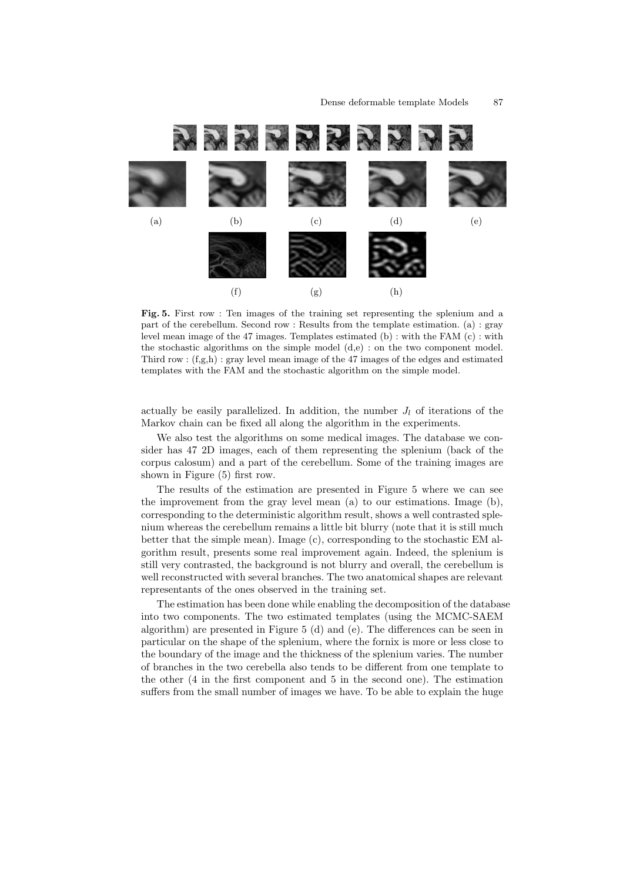

Fig. 5. First row : Ten images of the training set representing the splenium and a part of the cerebellum. Second row : Results from the template estimation. (a) : gray level mean image of the 47 images. Templates estimated (b) : with the FAM (c) : with the stochastic algorithms on the simple model (d,e) : on the two component model. Third row :  $(f,g,h)$ : gray level mean image of the 47 images of the edges and estimated templates with the FAM and the stochastic algorithm on the simple model.

actually be easily parallelized. In addition, the number  $J_l$  of iterations of the Markov chain can be fixed all along the algorithm in the experiments.

We also test the algorithms on some medical images. The database we consider has 47 2D images, each of them representing the splenium (back of the corpus calosum) and a part of the cerebellum. Some of the training images are shown in Figure (5) first row.

The results of the estimation are presented in Figure 5 where we can see the improvement from the gray level mean (a) to our estimations. Image (b), corresponding to the deterministic algorithm result, shows a well contrasted splenium whereas the cerebellum remains a little bit blurry (note that it is still much better that the simple mean). Image (c), corresponding to the stochastic EM algorithm result, presents some real improvement again. Indeed, the splenium is still very contrasted, the background is not blurry and overall, the cerebellum is well reconstructed with several branches. The two anatomical shapes are relevant representants of the ones observed in the training set.

The estimation has been done while enabling the decomposition of the database into two components. The two estimated templates (using the MCMC-SAEM algorithm) are presented in Figure 5 (d) and (e). The differences can be seen in particular on the shape of the splenium, where the fornix is more or less close to the boundary of the image and the thickness of the splenium varies. The number of branches in the two cerebella also tends to be different from one template to the other (4 in the first component and 5 in the second one). The estimation suffers from the small number of images we have. To be able to explain the huge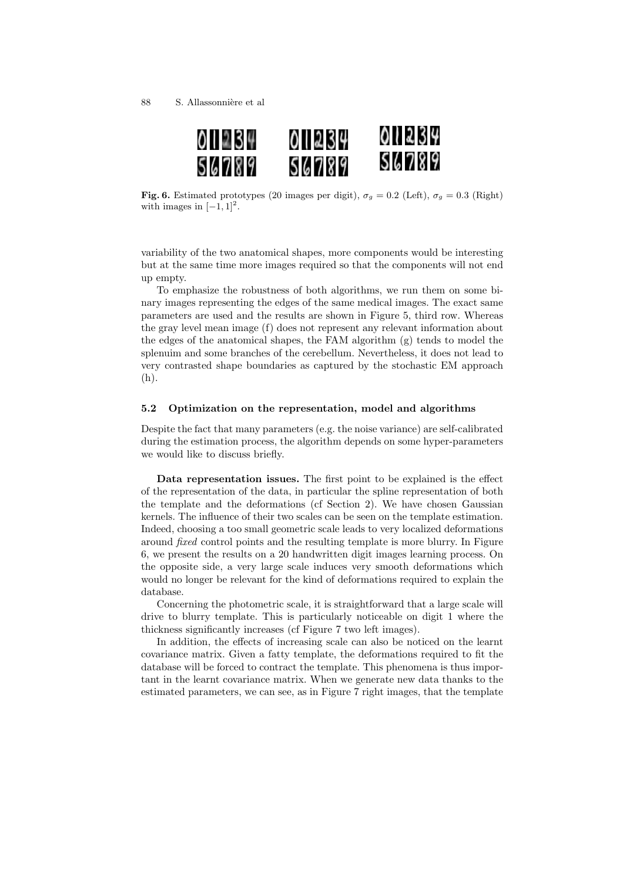

Fig. 6. Estimated prototypes (20 images per digit),  $\sigma_g = 0.2$  (Left),  $\sigma_g = 0.3$  (Right) with images in  $[-1, 1]^2$ .

variability of the two anatomical shapes, more components would be interesting but at the same time more images required so that the components will not end up empty.

To emphasize the robustness of both algorithms, we run them on some binary images representing the edges of the same medical images. The exact same parameters are used and the results are shown in Figure 5, third row. Whereas the gray level mean image (f) does not represent any relevant information about the edges of the anatomical shapes, the FAM algorithm  $(g)$  tends to model the splenuim and some branches of the cerebellum. Nevertheless, it does not lead to very contrasted shape boundaries as captured by the stochastic EM approach (h).

#### 5.2 Optimization on the representation, model and algorithms

Despite the fact that many parameters (e.g. the noise variance) are self-calibrated during the estimation process, the algorithm depends on some hyper-parameters we would like to discuss briefly.

Data representation issues. The first point to be explained is the effect of the representation of the data, in particular the spline representation of both the template and the deformations (cf Section 2). We have chosen Gaussian kernels. The influence of their two scales can be seen on the template estimation. Indeed, choosing a too small geometric scale leads to very localized deformations around fixed control points and the resulting template is more blurry. In Figure 6, we present the results on a 20 handwritten digit images learning process. On the opposite side, a very large scale induces very smooth deformations which would no longer be relevant for the kind of deformations required to explain the database.

Concerning the photometric scale, it is straightforward that a large scale will drive to blurry template. This is particularly noticeable on digit 1 where the thickness significantly increases (cf Figure 7 two left images).

In addition, the effects of increasing scale can also be noticed on the learnt covariance matrix. Given a fatty template, the deformations required to fit the database will be forced to contract the template. This phenomena is thus important in the learnt covariance matrix. When we generate new data thanks to the estimated parameters, we can see, as in Figure 7 right images, that the template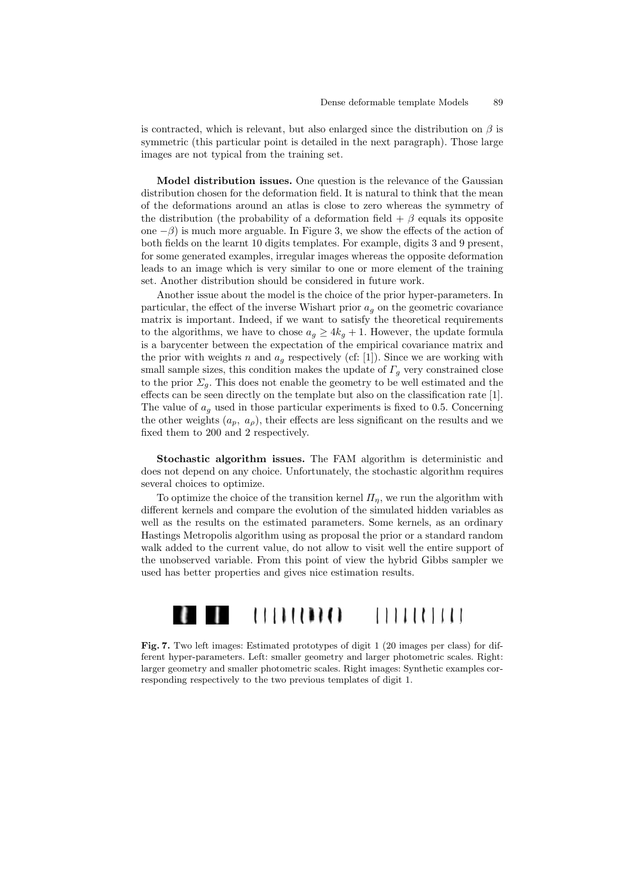is contracted, which is relevant, but also enlarged since the distribution on  $\beta$  is symmetric (this particular point is detailed in the next paragraph). Those large images are not typical from the training set.

Model distribution issues. One question is the relevance of the Gaussian distribution chosen for the deformation field. It is natural to think that the mean of the deformations around an atlas is close to zero whereas the symmetry of the distribution (the probability of a deformation field  $+ \beta$  equals its opposite one  $-\beta$ ) is much more arguable. In Figure 3, we show the effects of the action of both fields on the learnt 10 digits templates. For example, digits 3 and 9 present, for some generated examples, irregular images whereas the opposite deformation leads to an image which is very similar to one or more element of the training set. Another distribution should be considered in future work.

Another issue about the model is the choice of the prior hyper-parameters. In particular, the effect of the inverse Wishart prior  $a<sub>g</sub>$  on the geometric covariance matrix is important. Indeed, if we want to satisfy the theoretical requirements to the algorithms, we have to chose  $a_q \geq 4k_q + 1$ . However, the update formula is a barycenter between the expectation of the empirical covariance matrix and the prior with weights n and  $a<sub>q</sub>$  respectively (cf: [1]). Since we are working with small sample sizes, this condition makes the update of  $\Gamma_g$  very constrained close to the prior  $\Sigma_g$ . This does not enable the geometry to be well estimated and the effects can be seen directly on the template but also on the classification rate [1]. The value of  $a<sub>q</sub>$  used in those particular experiments is fixed to 0.5. Concerning the other weights  $(a_p, a_p)$ , their effects are less significant on the results and we fixed them to 200 and 2 respectively.

Stochastic algorithm issues. The FAM algorithm is deterministic and does not depend on any choice. Unfortunately, the stochastic algorithm requires several choices to optimize.

To optimize the choice of the transition kernel  $\Pi_n$ , we run the algorithm with different kernels and compare the evolution of the simulated hidden variables as well as the results on the estimated parameters. Some kernels, as an ordinary Hastings Metropolis algorithm using as proposal the prior or a standard random walk added to the current value, do not allow to visit well the entire support of the unobserved variable. From this point of view the hybrid Gibbs sampler we used has better properties and gives nice estimation results.



Fig. 7. Two left images: Estimated prototypes of digit 1 (20 images per class) for different hyper-parameters. Left: smaller geometry and larger photometric scales. Right: larger geometry and smaller photometric scales. Right images: Synthetic examples corresponding respectively to the two previous templates of digit 1.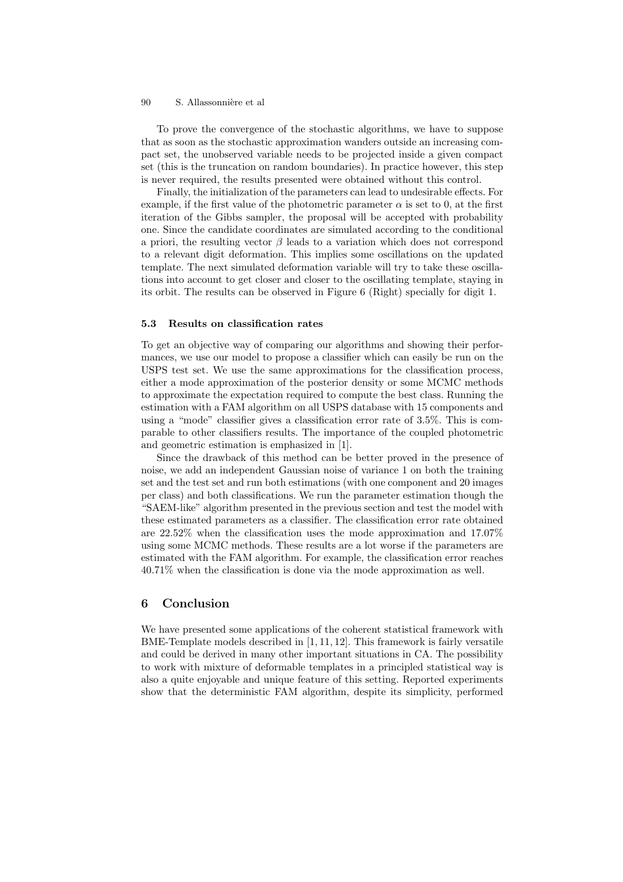To prove the convergence of the stochastic algorithms, we have to suppose that as soon as the stochastic approximation wanders outside an increasing compact set, the unobserved variable needs to be projected inside a given compact set (this is the truncation on random boundaries). In practice however, this step is never required, the results presented were obtained without this control.

Finally, the initialization of the parameters can lead to undesirable effects. For example, if the first value of the photometric parameter  $\alpha$  is set to 0, at the first iteration of the Gibbs sampler, the proposal will be accepted with probability one. Since the candidate coordinates are simulated according to the conditional a priori, the resulting vector  $\beta$  leads to a variation which does not correspond to a relevant digit deformation. This implies some oscillations on the updated template. The next simulated deformation variable will try to take these oscillations into account to get closer and closer to the oscillating template, staying in its orbit. The results can be observed in Figure 6 (Right) specially for digit 1.

#### 5.3 Results on classification rates

To get an objective way of comparing our algorithms and showing their performances, we use our model to propose a classifier which can easily be run on the USPS test set. We use the same approximations for the classification process, either a mode approximation of the posterior density or some MCMC methods to approximate the expectation required to compute the best class. Running the estimation with a FAM algorithm on all USPS database with 15 components and using a "mode" classifier gives a classification error rate of 3.5%. This is comparable to other classifiers results. The importance of the coupled photometric and geometric estimation is emphasized in [1].

Since the drawback of this method can be better proved in the presence of noise, we add an independent Gaussian noise of variance 1 on both the training set and the test set and run both estimations (with one component and 20 images per class) and both classifications. We run the parameter estimation though the "SAEM-like" algorithm presented in the previous section and test the model with these estimated parameters as a classifier. The classification error rate obtained are 22.52% when the classification uses the mode approximation and 17.07% using some MCMC methods. These results are a lot worse if the parameters are estimated with the FAM algorithm. For example, the classification error reaches 40.71% when the classification is done via the mode approximation as well.

# 6 Conclusion

We have presented some applications of the coherent statistical framework with BME-Template models described in [1, 11, 12]. This framework is fairly versatile and could be derived in many other important situations in CA. The possibility to work with mixture of deformable templates in a principled statistical way is also a quite enjoyable and unique feature of this setting. Reported experiments show that the deterministic FAM algorithm, despite its simplicity, performed